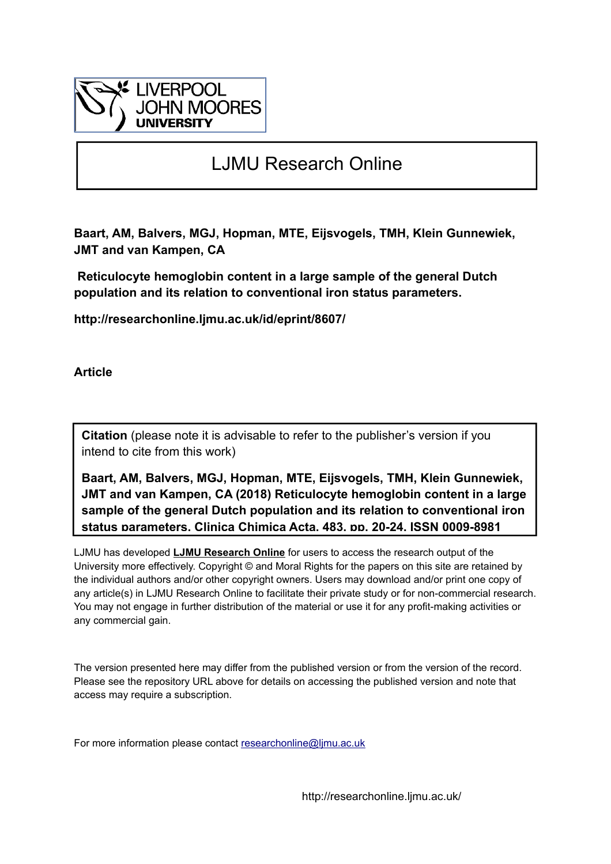

# LJMU Research Online

**Baart, AM, Balvers, MGJ, Hopman, MTE, Eijsvogels, TMH, Klein Gunnewiek, JMT and van Kampen, CA**

 **Reticulocyte hemoglobin content in a large sample of the general Dutch population and its relation to conventional iron status parameters.**

**http://researchonline.ljmu.ac.uk/id/eprint/8607/**

**Article**

**Citation** (please note it is advisable to refer to the publisher's version if you intend to cite from this work)

**Baart, AM, Balvers, MGJ, Hopman, MTE, Eijsvogels, TMH, Klein Gunnewiek, JMT and van Kampen, CA (2018) Reticulocyte hemoglobin content in a large sample of the general Dutch population and its relation to conventional iron status parameters. Clinica Chimica Acta, 483. pp. 20-24. ISSN 0009-8981** 

LJMU has developed **[LJMU Research Online](http://researchonline.ljmu.ac.uk/)** for users to access the research output of the University more effectively. Copyright © and Moral Rights for the papers on this site are retained by the individual authors and/or other copyright owners. Users may download and/or print one copy of any article(s) in LJMU Research Online to facilitate their private study or for non-commercial research. You may not engage in further distribution of the material or use it for any profit-making activities or any commercial gain.

The version presented here may differ from the published version or from the version of the record. Please see the repository URL above for details on accessing the published version and note that access may require a subscription.

For more information please contact researchonline@limu.ac.uk

http://researchonline.ljmu.ac.uk/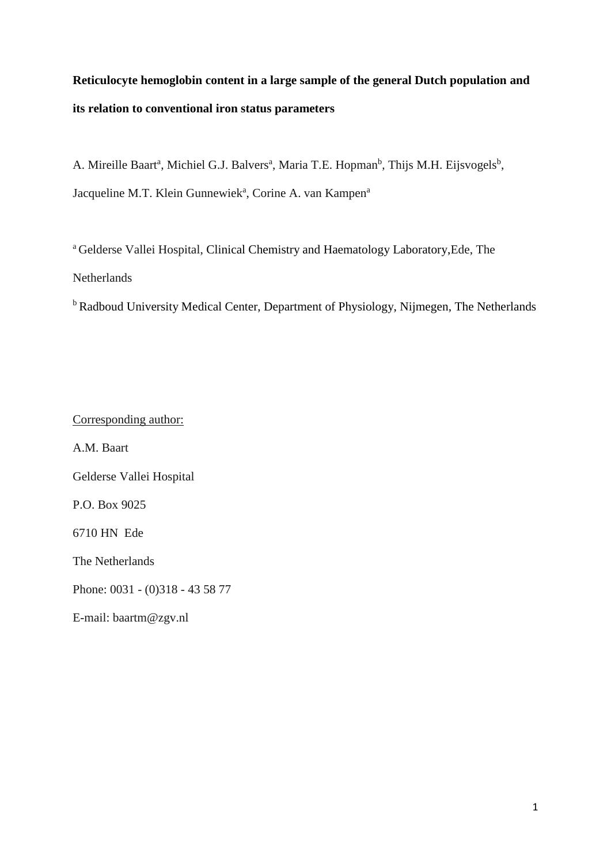# **Reticulocyte hemoglobin content in a large sample of the general Dutch population and its relation to conventional iron status parameters**

A. Mireille Baart<sup>a</sup>, Michiel G.J. Balvers<sup>a</sup>, Maria T.E. Hopman<sup>b</sup>, Thijs M.H. Eijsvogels<sup>b</sup>, Jacqueline M.T. Klein Gunnewiek<sup>a</sup>, Corine A. van Kampen<sup>a</sup>

<sup>a</sup> Gelderse Vallei Hospital, Clinical Chemistry and Haematology Laboratory,Ede, The Netherlands

<sup>b</sup> Radboud University Medical Center, Department of Physiology, Nijmegen, The Netherlands

Corresponding author:

A.M. Baart

Gelderse Vallei Hospital

P.O. Box 9025

6710 HN Ede

The Netherlands

Phone: 0031 - (0)318 - 43 58 77

E-mail: baartm@zgv.nl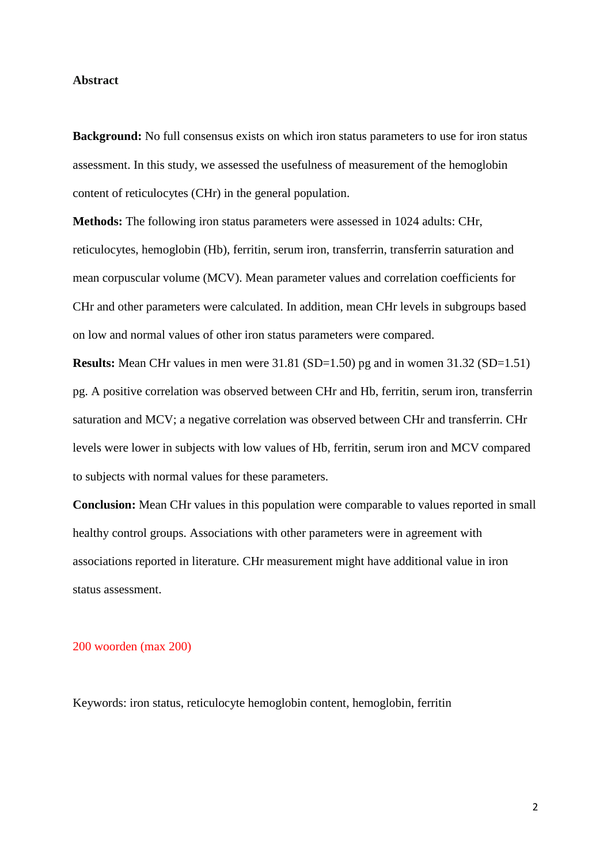#### **Abstract**

**Background:** No full consensus exists on which iron status parameters to use for iron status assessment. In this study, we assessed the usefulness of measurement of the hemoglobin content of reticulocytes (CHr) in the general population.

**Methods:** The following iron status parameters were assessed in 1024 adults: CHr, reticulocytes, hemoglobin (Hb), ferritin, serum iron, transferrin, transferrin saturation and mean corpuscular volume (MCV). Mean parameter values and correlation coefficients for CHr and other parameters were calculated. In addition, mean CHr levels in subgroups based on low and normal values of other iron status parameters were compared.

**Results:** Mean CHr values in men were 31.81 (SD=1.50) pg and in women 31.32 (SD=1.51) pg. A positive correlation was observed between CHr and Hb, ferritin, serum iron, transferrin saturation and MCV; a negative correlation was observed between CHr and transferrin. CHr levels were lower in subjects with low values of Hb, ferritin, serum iron and MCV compared to subjects with normal values for these parameters.

**Conclusion:** Mean CHr values in this population were comparable to values reported in small healthy control groups. Associations with other parameters were in agreement with associations reported in literature. CHr measurement might have additional value in iron status assessment.

### 200 woorden (max 200)

Keywords: iron status, reticulocyte hemoglobin content, hemoglobin, ferritin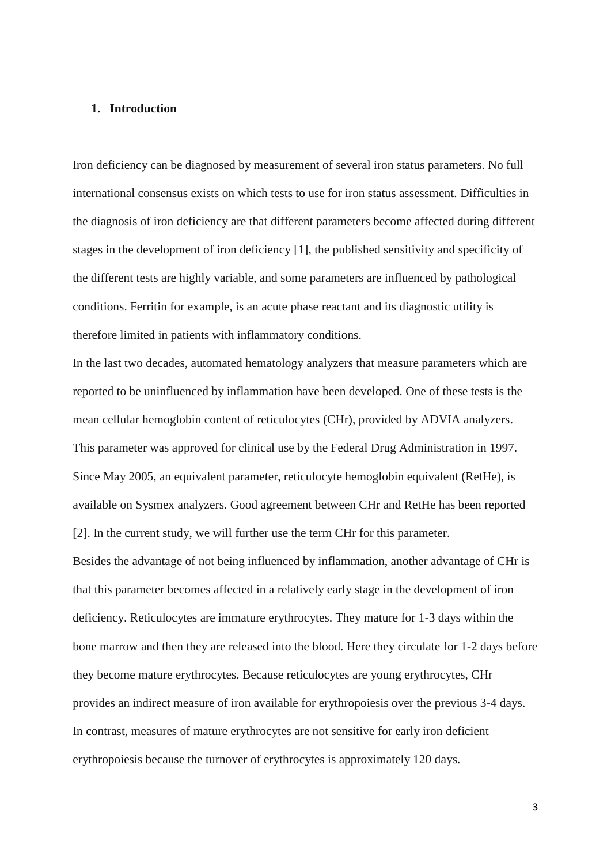### **1. Introduction**

Iron deficiency can be diagnosed by measurement of several iron status parameters. No full international consensus exists on which tests to use for iron status assessment. Difficulties in the diagnosis of iron deficiency are that different parameters become affected during different stages in the development of iron deficiency [1], the published sensitivity and specificity of the different tests are highly variable, and some parameters are influenced by pathological conditions. Ferritin for example, is an acute phase reactant and its diagnostic utility is therefore limited in patients with inflammatory conditions.

In the last two decades, automated hematology analyzers that measure parameters which are reported to be uninfluenced by inflammation have been developed. One of these tests is the mean cellular hemoglobin content of reticulocytes (CHr), provided by ADVIA analyzers. This parameter was approved for clinical use by the Federal Drug Administration in 1997. Since May 2005, an equivalent parameter, reticulocyte hemoglobin equivalent (RetHe), is available on Sysmex analyzers. Good agreement between CHr and RetHe has been reported [2]. In the current study, we will further use the term CHr for this parameter.

Besides the advantage of not being influenced by inflammation, another advantage of CHr is that this parameter becomes affected in a relatively early stage in the development of iron deficiency. Reticulocytes are immature erythrocytes. They mature for 1-3 days within the bone marrow and then they are released into the blood. Here they circulate for 1-2 days before they become mature erythrocytes. Because reticulocytes are young erythrocytes, CHr provides an indirect measure of iron available for erythropoiesis over the previous 3-4 days. In contrast, measures of mature erythrocytes are not sensitive for early iron deficient erythropoiesis because the turnover of erythrocytes is approximately 120 days.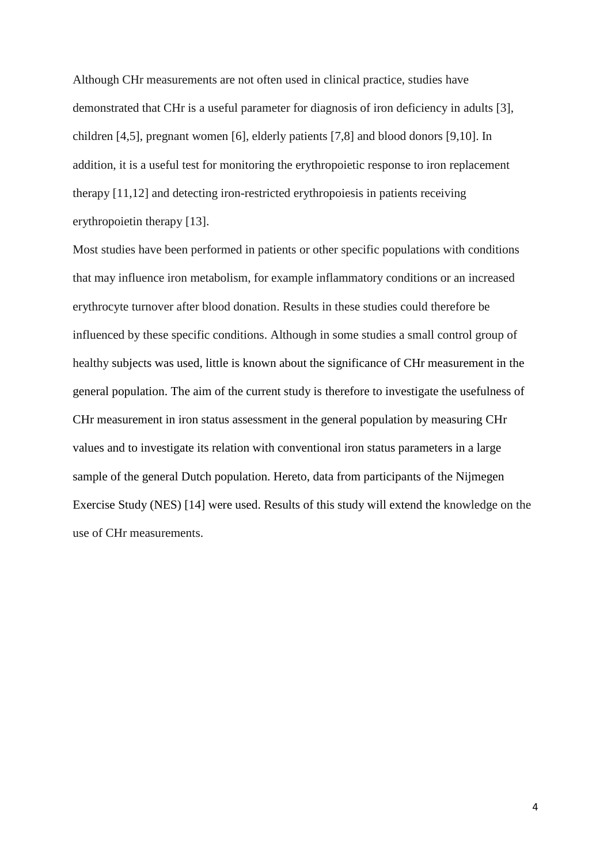Although CHr measurements are not often used in clinical practice, studies have demonstrated that CHr is a useful parameter for diagnosis of iron deficiency in adults [3], children [4,5], pregnant women [6], elderly patients [7,8] and blood donors [9,10]. In addition, it is a useful test for monitoring the erythropoietic response to iron replacement therapy [11,12] and detecting iron-restricted erythropoiesis in patients receiving erythropoietin therapy [13].

Most studies have been performed in patients or other specific populations with conditions that may influence iron metabolism, for example inflammatory conditions or an increased erythrocyte turnover after blood donation. Results in these studies could therefore be influenced by these specific conditions. Although in some studies a small control group of healthy subjects was used, little is known about the significance of CHr measurement in the general population. The aim of the current study is therefore to investigate the usefulness of CHr measurement in iron status assessment in the general population by measuring CHr values and to investigate its relation with conventional iron status parameters in a large sample of the general Dutch population. Hereto, data from participants of the Nijmegen Exercise Study (NES) [14] were used. Results of this study will extend the knowledge on the use of CHr measurements.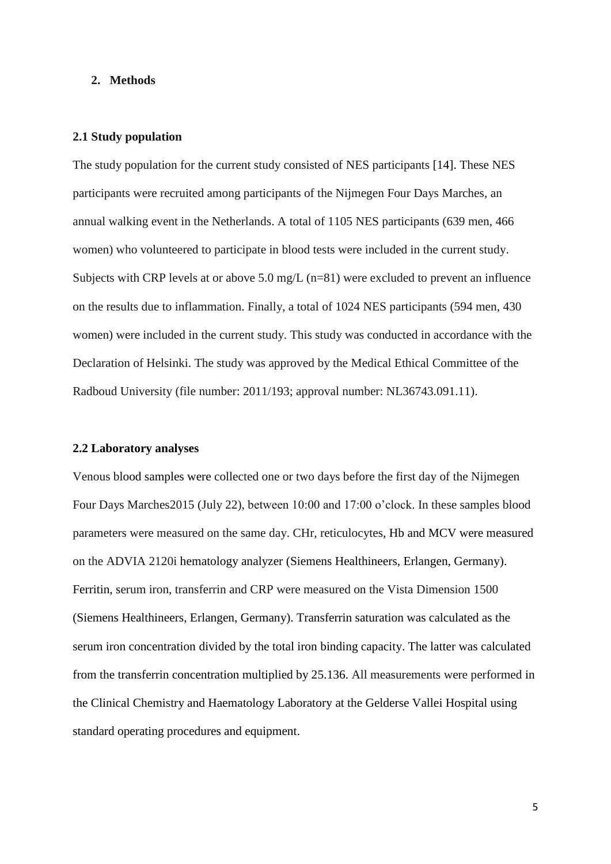#### **2. Methods**

#### **2.1 Study population**

The study population for the current study consisted of NES participants [14]. These NES participants were recruited among participants of the Nijmegen Four Days Marches, an annual walking event in the Netherlands. A total of 1105 NES participants (639 men, 466 women) who volunteered to participate in blood tests were included in the current study. Subjects with CRP levels at or above 5.0 mg/L (n=81) were excluded to prevent an influence on the results due to inflammation. Finally, a total of 1024 NES participants (594 men, 430 women) were included in the current study. This study was conducted in accordance with the Declaration of Helsinki. The study was approved by the Medical Ethical Committee of the Radboud University (file number: 2011/193; approval number: NL36743.091.11).

#### **2.2 Laboratory analyses**

Venous blood samples were collected one or two days before the first day of the Nijmegen Four Days Marches2015 (July 22), between 10:00 and 17:00 o'clock. In these samples blood parameters were measured on the same day. CHr, reticulocytes, Hb and MCV were measured on the ADVIA 2120i hematology analyzer (Siemens Healthineers, Erlangen, Germany). Ferritin, serum iron, transferrin and CRP were measured on the Vista Dimension 1500 (Siemens Healthineers, Erlangen, Germany). Transferrin saturation was calculated as the serum iron concentration divided by the total iron binding capacity. The latter was calculated from the transferrin concentration multiplied by 25.136. All measurements were performed in the Clinical Chemistry and Haematology Laboratory at the Gelderse Vallei Hospital using standard operating procedures and equipment.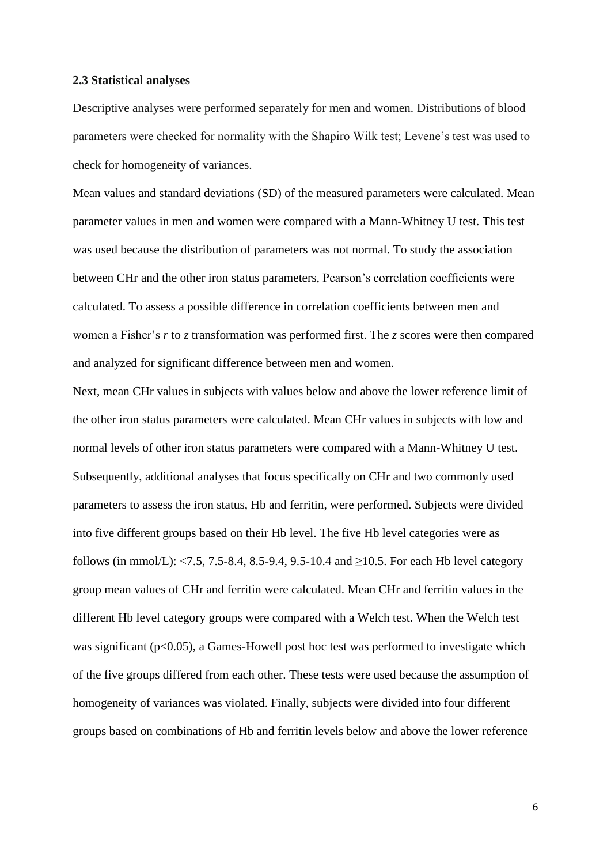#### **2.3 Statistical analyses**

Descriptive analyses were performed separately for men and women. Distributions of blood parameters were checked for normality with the Shapiro Wilk test; Levene's test was used to check for homogeneity of variances.

Mean values and standard deviations (SD) of the measured parameters were calculated. Mean parameter values in men and women were compared with a Mann-Whitney U test. This test was used because the distribution of parameters was not normal. To study the association between CHr and the other iron status parameters, Pearson's correlation coefficients were calculated. To assess a possible difference in correlation coefficients between men and women a Fisher's *r* to *z* transformation was performed first. The *z* scores were then compared and analyzed for significant difference between men and women.

Next, mean CHr values in subjects with values below and above the lower reference limit of the other iron status parameters were calculated. Mean CHr values in subjects with low and normal levels of other iron status parameters were compared with a Mann-Whitney U test. Subsequently, additional analyses that focus specifically on CHr and two commonly used parameters to assess the iron status, Hb and ferritin, were performed. Subjects were divided into five different groups based on their Hb level. The five Hb level categories were as follows (in mmol/L): <7.5, 7.5-8.4, 8.5-9.4, 9.5-10.4 and >10.5. For each Hb level category group mean values of CHr and ferritin were calculated. Mean CHr and ferritin values in the different Hb level category groups were compared with a Welch test. When the Welch test was significant  $(p<0.05)$ , a Games-Howell post hoc test was performed to investigate which of the five groups differed from each other. These tests were used because the assumption of homogeneity of variances was violated. Finally, subjects were divided into four different groups based on combinations of Hb and ferritin levels below and above the lower reference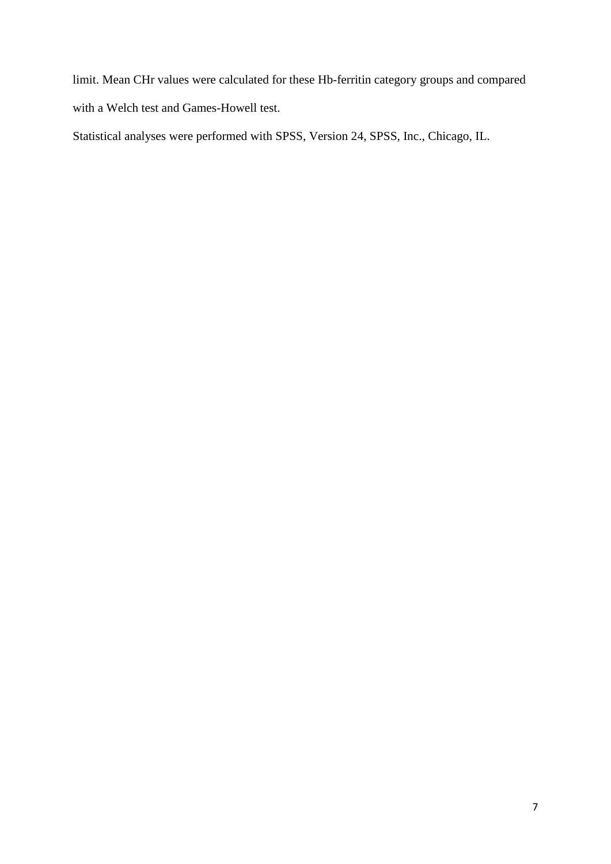limit. Mean CHr values were calculated for these Hb-ferritin category groups and compared with a Welch test and Games-Howell test.

Statistical analyses were performed with SPSS, Version 24, SPSS, Inc., Chicago, IL.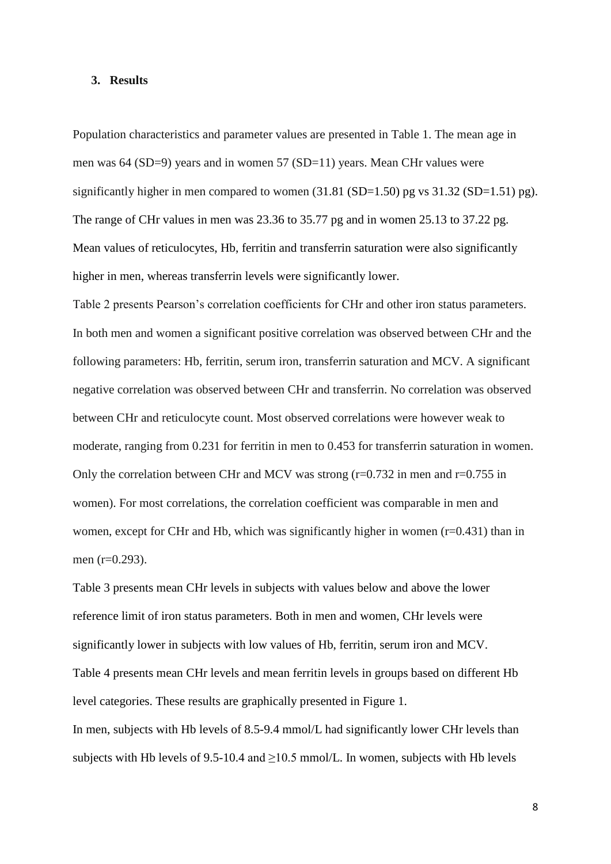#### **3. Results**

Population characteristics and parameter values are presented in Table 1. The mean age in men was 64 (SD=9) years and in women 57 (SD=11) years. Mean CHr values were significantly higher in men compared to women  $(31.81 \text{ (SD=1.50)}$  pg vs  $31.32 \text{ (SD=1.51)}$  pg). The range of CHr values in men was 23.36 to 35.77 pg and in women 25.13 to 37.22 pg. Mean values of reticulocytes, Hb, ferritin and transferrin saturation were also significantly higher in men, whereas transferrin levels were significantly lower.

Table 2 presents Pearson's correlation coefficients for CHr and other iron status parameters. In both men and women a significant positive correlation was observed between CHr and the following parameters: Hb, ferritin, serum iron, transferrin saturation and MCV. A significant negative correlation was observed between CHr and transferrin. No correlation was observed between CHr and reticulocyte count. Most observed correlations were however weak to moderate, ranging from 0.231 for ferritin in men to 0.453 for transferrin saturation in women. Only the correlation between CHr and MCV was strong  $(r=0.732$  in men and  $r=0.755$  in women). For most correlations, the correlation coefficient was comparable in men and women, except for CHr and Hb, which was significantly higher in women (r=0.431) than in men (r=0.293).

Table 3 presents mean CHr levels in subjects with values below and above the lower reference limit of iron status parameters. Both in men and women, CHr levels were significantly lower in subjects with low values of Hb, ferritin, serum iron and MCV. Table 4 presents mean CHr levels and mean ferritin levels in groups based on different Hb level categories. These results are graphically presented in Figure 1. In men, subjects with Hb levels of 8.5-9.4 mmol/L had significantly lower CHr levels than subjects with Hb levels of 9.5-10.4 and  $\geq$ 10.5 mmol/L. In women, subjects with Hb levels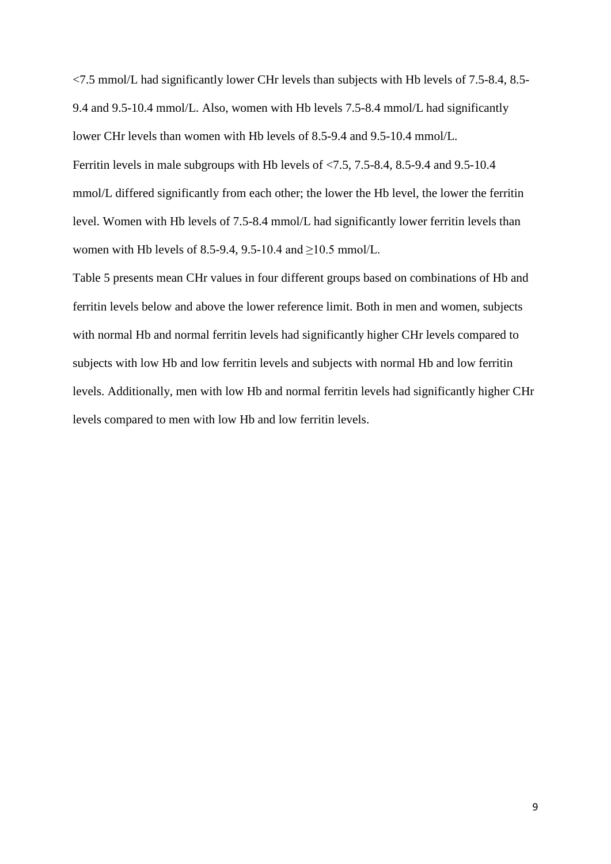<7.5 mmol/L had significantly lower CHr levels than subjects with Hb levels of 7.5-8.4, 8.5- 9.4 and 9.5-10.4 mmol/L. Also, women with Hb levels 7.5-8.4 mmol/L had significantly lower CHr levels than women with Hb levels of 8.5-9.4 and 9.5-10.4 mmol/L. Ferritin levels in male subgroups with Hb levels of <7.5, 7.5-8.4, 8.5-9.4 and 9.5-10.4 mmol/L differed significantly from each other; the lower the Hb level, the lower the ferritin level. Women with Hb levels of 7.5-8.4 mmol/L had significantly lower ferritin levels than women with Hb levels of 8.5-9.4, 9.5-10.4 and ≥10.5 mmol/L.

Table 5 presents mean CHr values in four different groups based on combinations of Hb and ferritin levels below and above the lower reference limit. Both in men and women, subjects with normal Hb and normal ferritin levels had significantly higher CHr levels compared to subjects with low Hb and low ferritin levels and subjects with normal Hb and low ferritin levels. Additionally, men with low Hb and normal ferritin levels had significantly higher CHr levels compared to men with low Hb and low ferritin levels.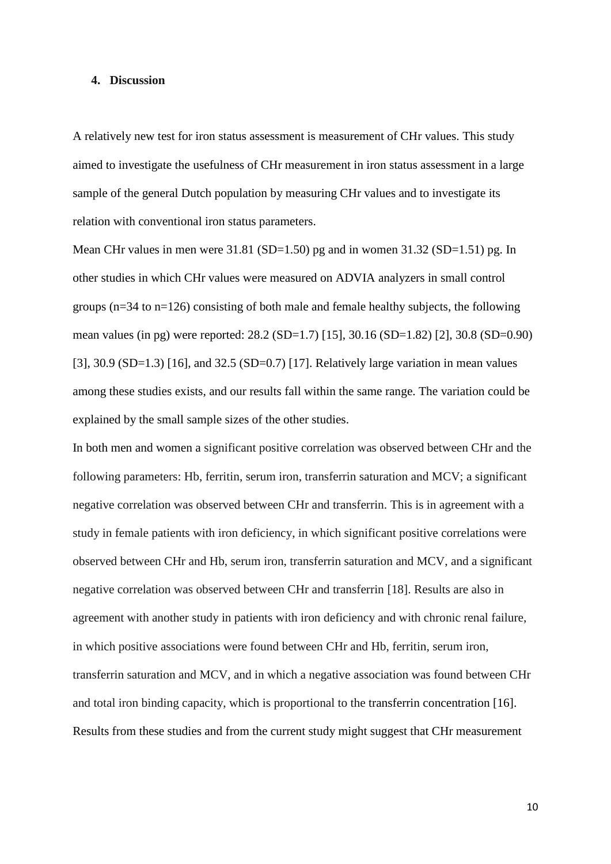#### **4. Discussion**

A relatively new test for iron status assessment is measurement of CHr values. This study aimed to investigate the usefulness of CHr measurement in iron status assessment in a large sample of the general Dutch population by measuring CHr values and to investigate its relation with conventional iron status parameters.

Mean CHr values in men were 31.81 (SD=1.50) pg and in women 31.32 (SD=1.51) pg. In other studies in which CHr values were measured on ADVIA analyzers in small control groups (n=34 to n=126) consisting of both male and female healthy subjects, the following mean values (in pg) were reported: 28.2 (SD=1.7) [15], 30.16 (SD=1.82) [2], 30.8 (SD=0.90) [3], 30.9 (SD=1.3) [16], and 32.5 (SD=0.7) [17]. Relatively large variation in mean values among these studies exists, and our results fall within the same range. The variation could be explained by the small sample sizes of the other studies.

In both men and women a significant positive correlation was observed between CHr and the following parameters: Hb, ferritin, serum iron, transferrin saturation and MCV; a significant negative correlation was observed between CHr and transferrin. This is in agreement with a study in female patients with iron deficiency, in which significant positive correlations were observed between CHr and Hb, serum iron, transferrin saturation and MCV, and a significant negative correlation was observed between CHr and transferrin [18]. Results are also in agreement with another study in patients with iron deficiency and with chronic renal failure, in which positive associations were found between CHr and Hb, ferritin, serum iron, transferrin saturation and MCV, and in which a negative association was found between CHr and total iron binding capacity, which is proportional to the transferrin concentration [16]. Results from these studies and from the current study might suggest that CHr measurement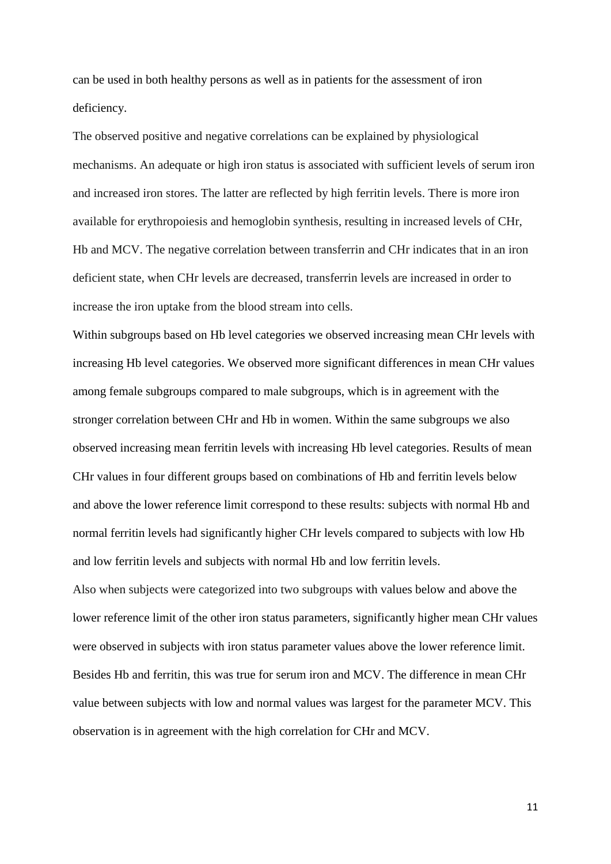can be used in both healthy persons as well as in patients for the assessment of iron deficiency.

The observed positive and negative correlations can be explained by physiological mechanisms. An adequate or high iron status is associated with sufficient levels of serum iron and increased iron stores. The latter are reflected by high ferritin levels. There is more iron available for erythropoiesis and hemoglobin synthesis, resulting in increased levels of CHr, Hb and MCV. The negative correlation between transferrin and CHr indicates that in an iron deficient state, when CHr levels are decreased, transferrin levels are increased in order to increase the iron uptake from the blood stream into cells.

Within subgroups based on Hb level categories we observed increasing mean CHr levels with increasing Hb level categories. We observed more significant differences in mean CHr values among female subgroups compared to male subgroups, which is in agreement with the stronger correlation between CHr and Hb in women. Within the same subgroups we also observed increasing mean ferritin levels with increasing Hb level categories. Results of mean CHr values in four different groups based on combinations of Hb and ferritin levels below and above the lower reference limit correspond to these results: subjects with normal Hb and normal ferritin levels had significantly higher CHr levels compared to subjects with low Hb and low ferritin levels and subjects with normal Hb and low ferritin levels.

Also when subjects were categorized into two subgroups with values below and above the lower reference limit of the other iron status parameters, significantly higher mean CHr values were observed in subjects with iron status parameter values above the lower reference limit. Besides Hb and ferritin, this was true for serum iron and MCV. The difference in mean CHr value between subjects with low and normal values was largest for the parameter MCV. This observation is in agreement with the high correlation for CHr and MCV.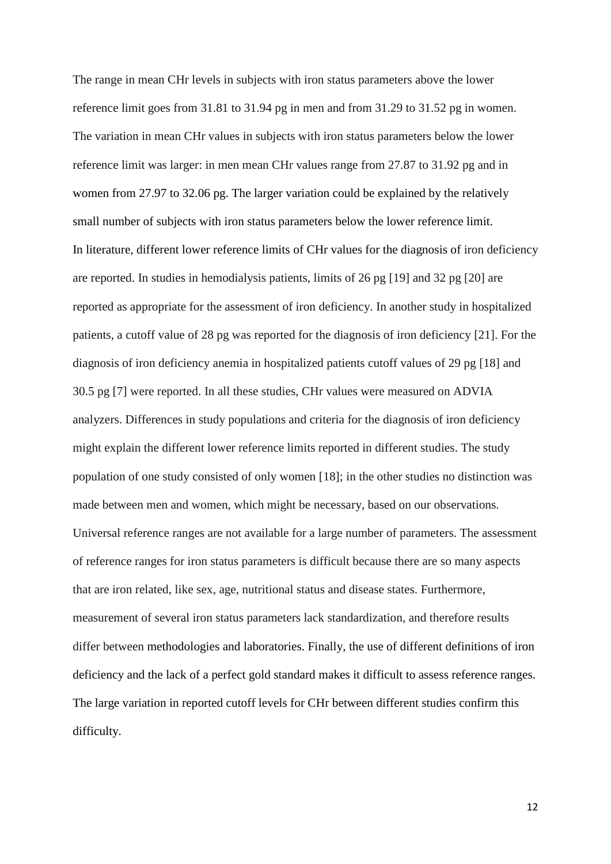The range in mean CHr levels in subjects with iron status parameters above the lower reference limit goes from 31.81 to 31.94 pg in men and from 31.29 to 31.52 pg in women. The variation in mean CHr values in subjects with iron status parameters below the lower reference limit was larger: in men mean CHr values range from 27.87 to 31.92 pg and in women from 27.97 to 32.06 pg. The larger variation could be explained by the relatively small number of subjects with iron status parameters below the lower reference limit. In literature, different lower reference limits of CHr values for the diagnosis of iron deficiency are reported. In studies in hemodialysis patients, limits of 26 pg [19] and 32 pg [20] are reported as appropriate for the assessment of iron deficiency. In another study in hospitalized patients, a cutoff value of 28 pg was reported for the diagnosis of iron deficiency [21]. For the diagnosis of iron deficiency anemia in hospitalized patients cutoff values of 29 pg [18] and 30.5 pg [7] were reported. In all these studies, CHr values were measured on ADVIA analyzers. Differences in study populations and criteria for the diagnosis of iron deficiency might explain the different lower reference limits reported in different studies. The study population of one study consisted of only women [18]; in the other studies no distinction was made between men and women, which might be necessary, based on our observations. Universal reference ranges are not available for a large number of parameters. The assessment of reference ranges for iron status parameters is difficult because there are so many aspects that are iron related, like sex, age, nutritional status and disease states. Furthermore, measurement of several iron status parameters lack standardization, and therefore results differ between methodologies and laboratories. Finally, the use of different definitions of iron deficiency and the lack of a perfect gold standard makes it difficult to assess reference ranges. The large variation in reported cutoff levels for CHr between different studies confirm this difficulty.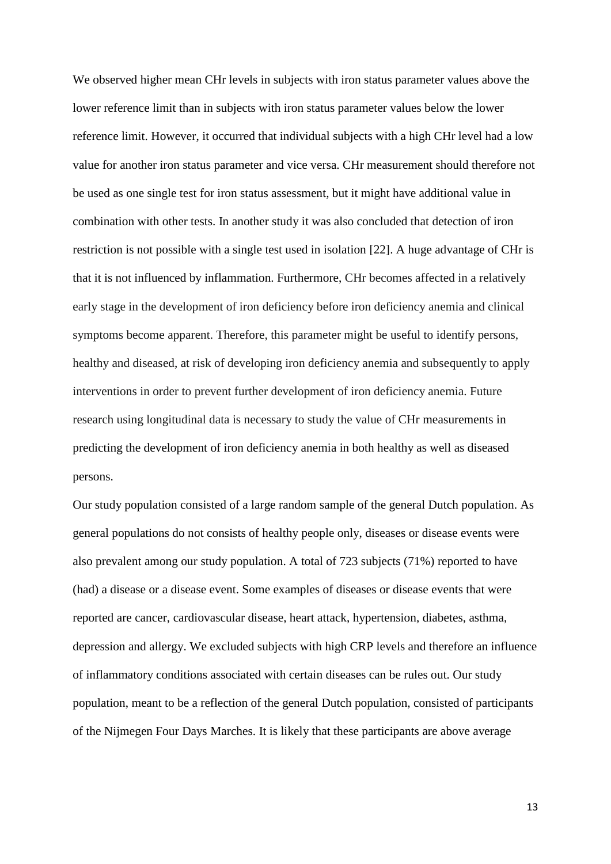We observed higher mean CHr levels in subjects with iron status parameter values above the lower reference limit than in subjects with iron status parameter values below the lower reference limit. However, it occurred that individual subjects with a high CHr level had a low value for another iron status parameter and vice versa. CHr measurement should therefore not be used as one single test for iron status assessment, but it might have additional value in combination with other tests. In another study it was also concluded that detection of iron restriction is not possible with a single test used in isolation [22]. A huge advantage of CHr is that it is not influenced by inflammation. Furthermore, CHr becomes affected in a relatively early stage in the development of iron deficiency before iron deficiency anemia and clinical symptoms become apparent. Therefore, this parameter might be useful to identify persons, healthy and diseased, at risk of developing iron deficiency anemia and subsequently to apply interventions in order to prevent further development of iron deficiency anemia. Future research using longitudinal data is necessary to study the value of CHr measurements in predicting the development of iron deficiency anemia in both healthy as well as diseased persons.

Our study population consisted of a large random sample of the general Dutch population. As general populations do not consists of healthy people only, diseases or disease events were also prevalent among our study population. A total of 723 subjects (71%) reported to have (had) a disease or a disease event. Some examples of diseases or disease events that were reported are cancer, cardiovascular disease, heart attack, hypertension, diabetes, asthma, depression and allergy. We excluded subjects with high CRP levels and therefore an influence of inflammatory conditions associated with certain diseases can be rules out. Our study population, meant to be a reflection of the general Dutch population, consisted of participants of the Nijmegen Four Days Marches. It is likely that these participants are above average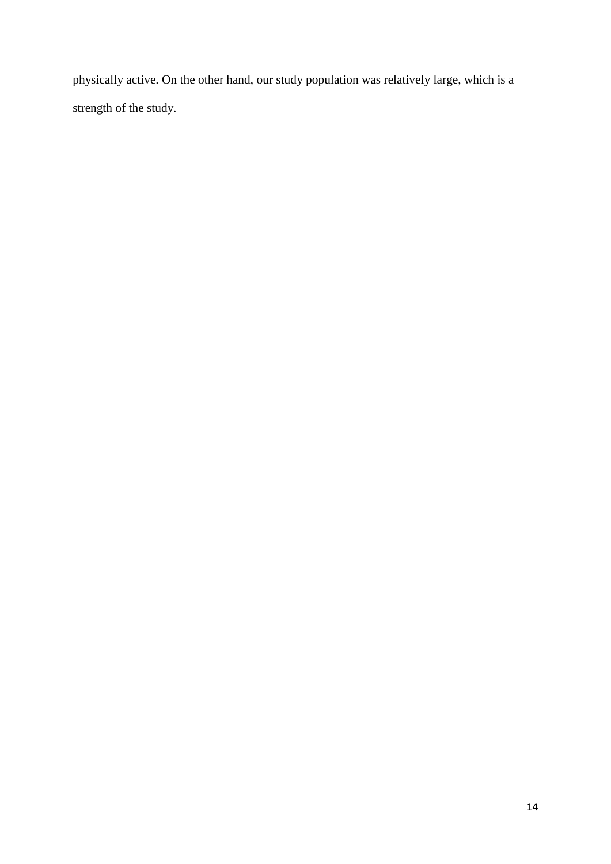physically active. On the other hand, our study population was relatively large, which is a strength of the study.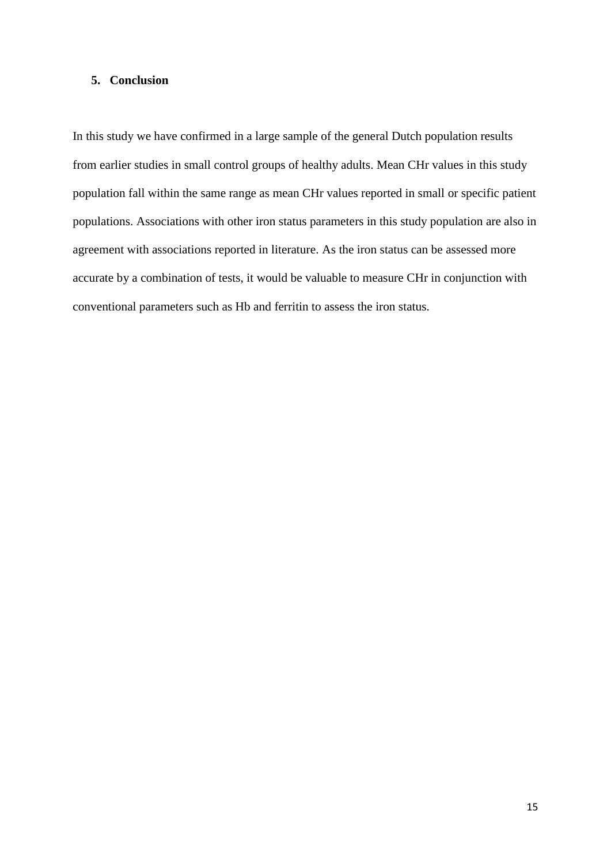### **5. Conclusion**

In this study we have confirmed in a large sample of the general Dutch population results from earlier studies in small control groups of healthy adults. Mean CHr values in this study population fall within the same range as mean CHr values reported in small or specific patient populations. Associations with other iron status parameters in this study population are also in agreement with associations reported in literature. As the iron status can be assessed more accurate by a combination of tests, it would be valuable to measure CHr in conjunction with conventional parameters such as Hb and ferritin to assess the iron status.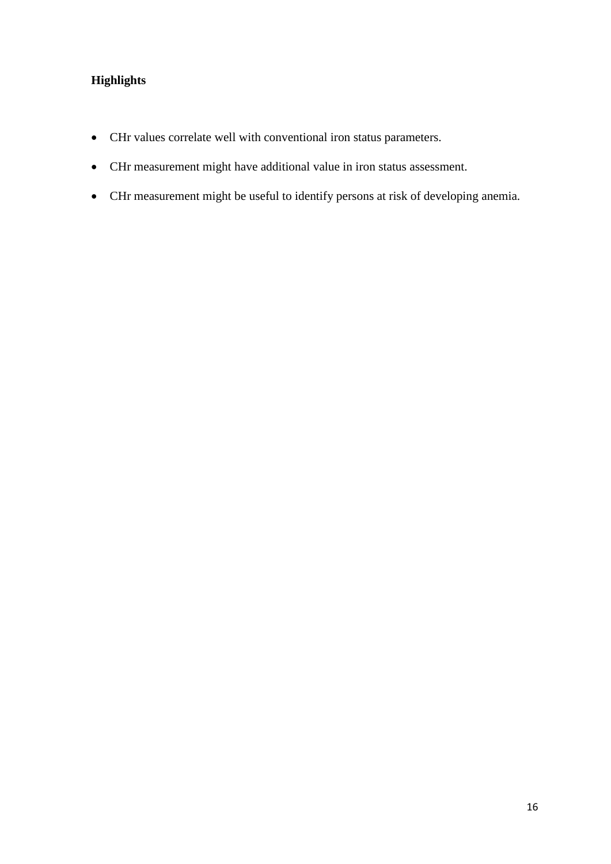# **Highlights**

- CHr values correlate well with conventional iron status parameters.
- CHr measurement might have additional value in iron status assessment.
- CHr measurement might be useful to identify persons at risk of developing anemia.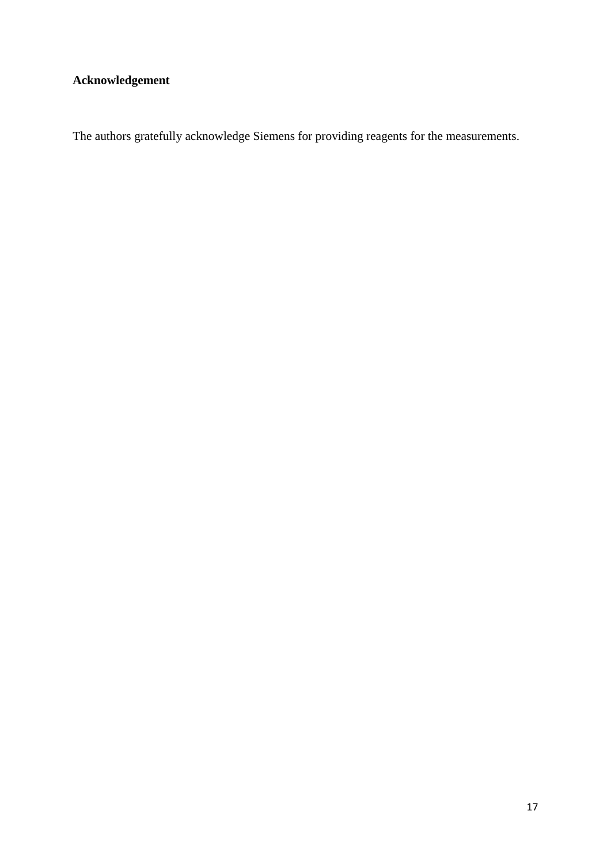# **Acknowledgement**

The authors gratefully acknowledge Siemens for providing reagents for the measurements.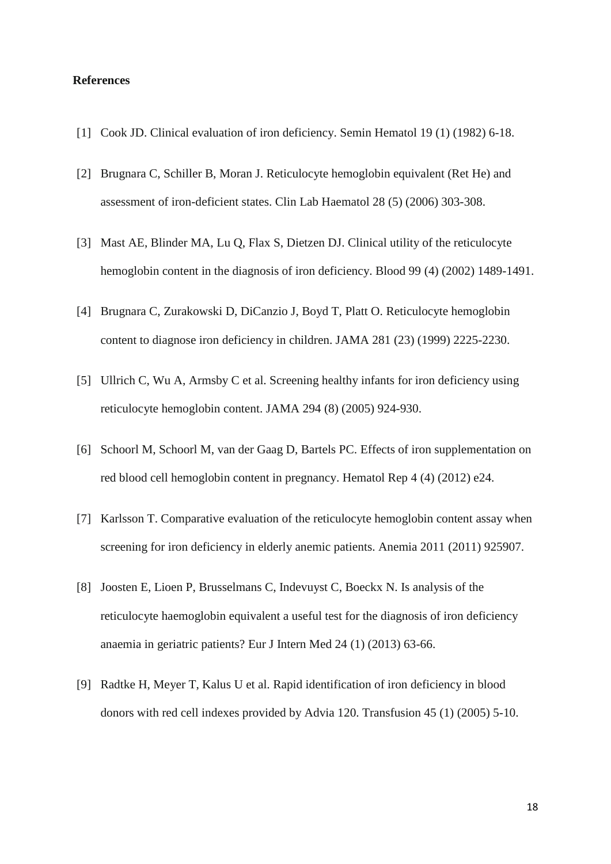#### **References**

- [1] Cook JD. Clinical evaluation of iron deficiency. Semin Hematol 19 (1) (1982) 6-18.
- [2] Brugnara C, Schiller B, Moran J. Reticulocyte hemoglobin equivalent (Ret He) and assessment of iron-deficient states. Clin Lab Haematol 28 (5) (2006) 303-308.
- [3] Mast AE, Blinder MA, Lu Q, Flax S, Dietzen DJ. Clinical utility of the reticulocyte hemoglobin content in the diagnosis of iron deficiency. Blood 99 (4) (2002) 1489-1491.
- [4] Brugnara C, Zurakowski D, DiCanzio J, Boyd T, Platt O. Reticulocyte hemoglobin content to diagnose iron deficiency in children. JAMA 281 (23) (1999) 2225-2230.
- [5] Ullrich C, Wu A, Armsby C et al. Screening healthy infants for iron deficiency using reticulocyte hemoglobin content. JAMA 294 (8) (2005) 924-930.
- [6] Schoorl M, Schoorl M, van der Gaag D, Bartels PC. Effects of iron supplementation on red blood cell hemoglobin content in pregnancy. Hematol Rep 4 (4) (2012) e24.
- [7] Karlsson T. Comparative evaluation of the reticulocyte hemoglobin content assay when screening for iron deficiency in elderly anemic patients. Anemia 2011 (2011) 925907.
- [8] Joosten E, Lioen P, Brusselmans C, Indevuyst C, Boeckx N. Is analysis of the reticulocyte haemoglobin equivalent a useful test for the diagnosis of iron deficiency anaemia in geriatric patients? Eur J Intern Med 24 (1) (2013) 63-66.
- [9] Radtke H, Meyer T, Kalus U et al. Rapid identification of iron deficiency in blood donors with red cell indexes provided by Advia 120. Transfusion 45 (1) (2005) 5-10.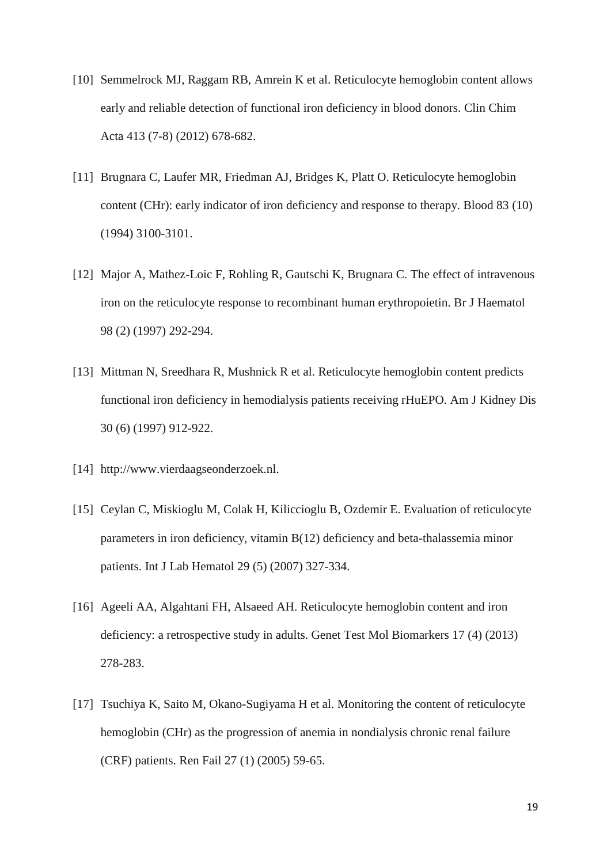- [10] Semmelrock MJ, Raggam RB, Amrein K et al. Reticulocyte hemoglobin content allows early and reliable detection of functional iron deficiency in blood donors. Clin Chim Acta 413 (7-8) (2012) 678-682.
- [11] Brugnara C, Laufer MR, Friedman AJ, Bridges K, Platt O. Reticulocyte hemoglobin content (CHr): early indicator of iron deficiency and response to therapy. Blood 83 (10) (1994) 3100-3101.
- [12] Major A, Mathez-Loic F, Rohling R, Gautschi K, Brugnara C. The effect of intravenous iron on the reticulocyte response to recombinant human erythropoietin. Br J Haematol 98 (2) (1997) 292-294.
- [13] Mittman N, Sreedhara R, Mushnick R et al. Reticulocyte hemoglobin content predicts functional iron deficiency in hemodialysis patients receiving rHuEPO. Am J Kidney Dis 30 (6) (1997) 912-922.
- [14] http://www.vierdaagseonderzoek.nl.
- [15] Ceylan C, Miskioglu M, Colak H, Kiliccioglu B, Ozdemir E. Evaluation of reticulocyte parameters in iron deficiency, vitamin B(12) deficiency and beta-thalassemia minor patients. Int J Lab Hematol 29 (5) (2007) 327-334.
- [16] Ageeli AA, Algahtani FH, Alsaeed AH. Reticulocyte hemoglobin content and iron deficiency: a retrospective study in adults. Genet Test Mol Biomarkers 17 (4) (2013) 278-283.
- [17] Tsuchiya K, Saito M, Okano-Sugiyama H et al. Monitoring the content of reticulocyte hemoglobin (CHr) as the progression of anemia in nondialysis chronic renal failure (CRF) patients. Ren Fail 27 (1) (2005) 59-65.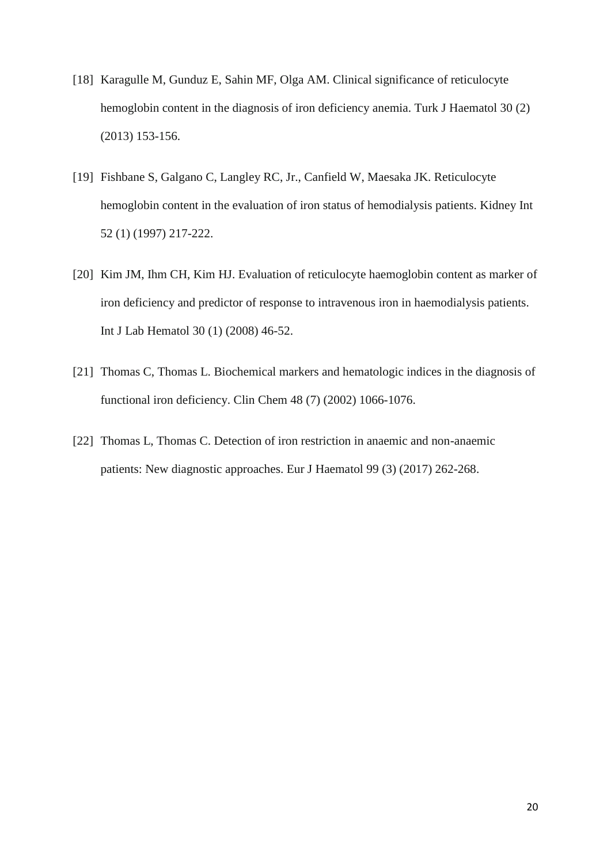- [18] Karagulle M, Gunduz E, Sahin MF, Olga AM. Clinical significance of reticulocyte hemoglobin content in the diagnosis of iron deficiency anemia. Turk J Haematol 30 (2) (2013) 153-156.
- [19] Fishbane S, Galgano C, Langley RC, Jr., Canfield W, Maesaka JK. Reticulocyte hemoglobin content in the evaluation of iron status of hemodialysis patients. Kidney Int 52 (1) (1997) 217-222.
- [20] Kim JM, Ihm CH, Kim HJ. Evaluation of reticulocyte haemoglobin content as marker of iron deficiency and predictor of response to intravenous iron in haemodialysis patients. Int J Lab Hematol 30 (1) (2008) 46-52.
- [21] Thomas C, Thomas L. Biochemical markers and hematologic indices in the diagnosis of functional iron deficiency. Clin Chem 48 (7) (2002) 1066-1076.
- [22] Thomas L, Thomas C. Detection of iron restriction in anaemic and non-anaemic patients: New diagnostic approaches. Eur J Haematol 99 (3) (2017) 262-268.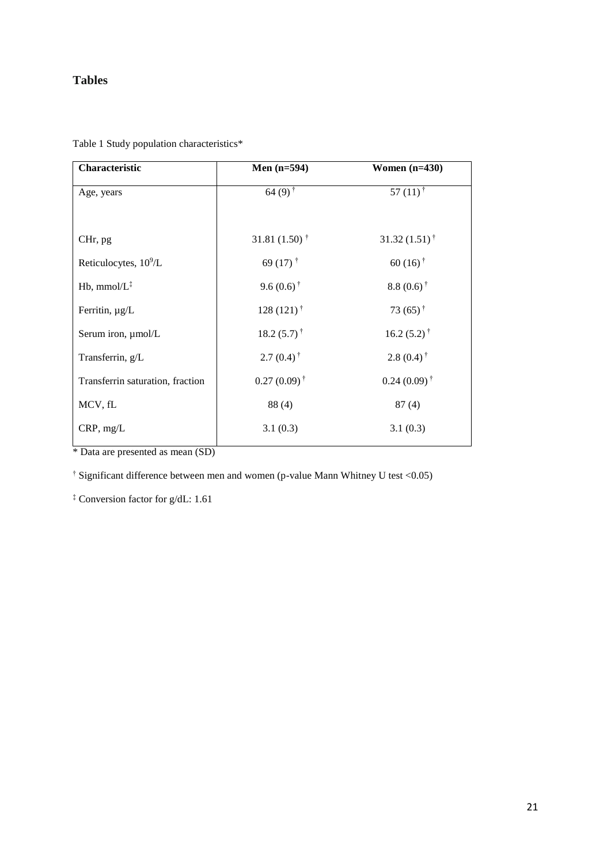## **Tables**

| Characteristic                   | Men $(n=594)$               | Women $(n=430)$            |
|----------------------------------|-----------------------------|----------------------------|
| Age, years                       | $64(9)$ <sup>†</sup>        | $57(11)^{\dagger}$         |
|                                  |                             |                            |
| CHr, pg                          | 31.81 $(1.50)$ <sup>†</sup> | $31.32(1.51)$ <sup>†</sup> |
| Reticulocytes, $10^9$ /L         | 69 $(17)$ <sup>†</sup>      | $60(16)$ <sup>†</sup>      |
| $Hb$ , mmol/ $L^{\ddagger}$      | 9.6 $(0.6)$ <sup>†</sup>    | $8.8(0.6)^{\dagger}$       |
| Ferritin, $\mu g/L$              | $128(121)$ <sup>†</sup>     | 73 $(65)$ <sup>†</sup>     |
| Serum iron, µmol/L               | $18.2(5.7)^{+}$             | $16.2(5.2)^{\dagger}$      |
| Transferrin, g/L                 | $2.7(0.4)$ <sup>†</sup>     | $2.8(0.4)$ <sup>†</sup>    |
| Transferrin saturation, fraction | $0.27(0.09)^{\dagger}$      | $0.24(0.09)^{\dagger}$     |
| MCV, fL                          | 88 (4)                      | 87(4)                      |
| CRP, mg/L                        | 3.1(0.3)                    | 3.1(0.3)                   |
|                                  |                             |                            |

Table 1 Study population characteristics\*

\* Data are presented as mean (SD)

† Significant difference between men and women (p-value Mann Whitney U test <0.05)

‡ Conversion factor for g/dL: 1.61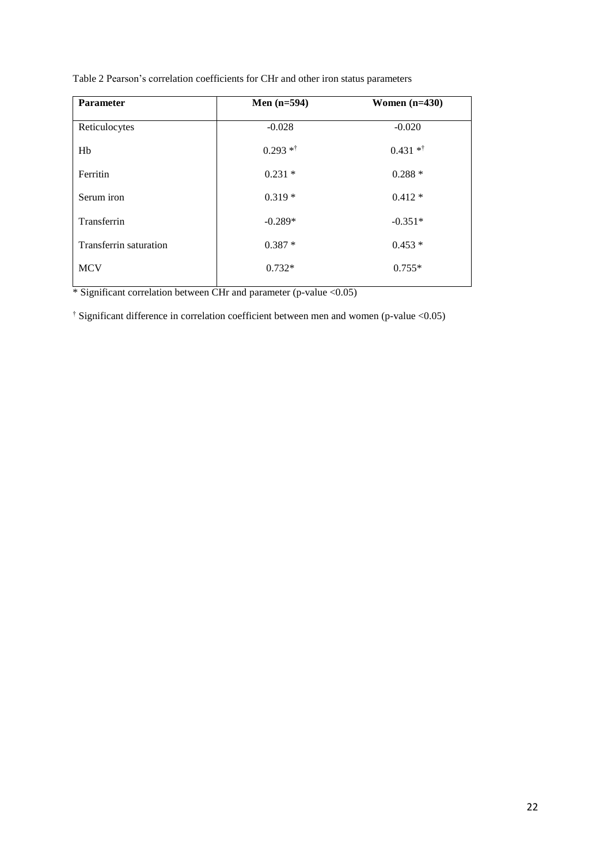| <b>Parameter</b>       | Men $(n=594)$ | Women $(n=430)$ |
|------------------------|---------------|-----------------|
| Reticulocytes          | $-0.028$      | $-0.020$        |
| Hb                     | $0.293$ **    | $0.431**$       |
| Ferritin               | $0.231*$      | $0.288*$        |
| Serum iron             | $0.319*$      | $0.412*$        |
| Transferrin            | $-0.289*$     | $-0.351*$       |
| Transferrin saturation | $0.387*$      | $0.453*$        |
| <b>MCV</b>             | $0.732*$      | $0.755*$        |
|                        |               |                 |

Table 2 Pearson's correlation coefficients for CHr and other iron status parameters

\* Significant correlation between CHr and parameter (p-value <0.05)

† Significant difference in correlation coefficient between men and women (p-value <0.05)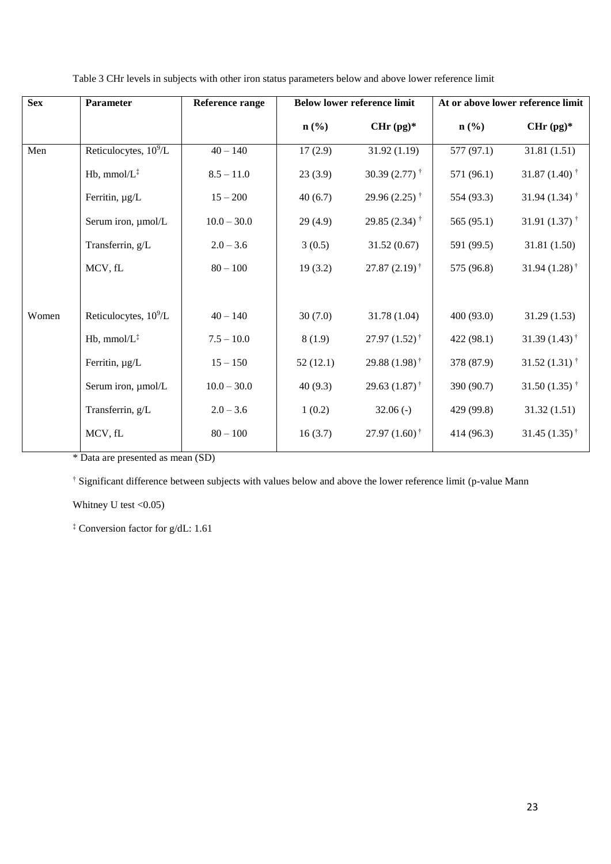| <b>Sex</b> | <b>Parameter</b>                  | <b>Reference range</b> | <b>Below lower reference limit</b> |                             | At or above lower reference limit |                             |
|------------|-----------------------------------|------------------------|------------------------------------|-----------------------------|-----------------------------------|-----------------------------|
|            |                                   |                        | $n\left(\frac{0}{0}\right)$        | $CHr (pg)^*$                | $n$ (%)                           | CHr $(pg)^*$                |
| Men        | Reticulocytes, 10 <sup>9</sup> /L | $40 - 140$             | 17(2.9)                            | 31.92(1.19)                 | 577 (97.1)                        | 31.81 (1.51)                |
|            | Hb, $mmol/L^{\ddagger}$           | $8.5 - 11.0$           | 23(3.9)                            | 30.39 $(2.77)$ <sup>†</sup> | 571 (96.1)                        | 31.87 $(1.40)$ <sup>†</sup> |
|            | Ferritin, µg/L                    | $15 - 200$             | 40(6.7)                            | 29.96 $(2.25)$ <sup>†</sup> | 554 (93.3)                        | 31.94 $(1.34)$ <sup>†</sup> |
|            | Serum iron, µmol/L                | $10.0 - 30.0$          | 29(4.9)                            | 29.85 $(2.34)$ <sup>†</sup> | 565 (95.1)                        | 31.91 $(1.37)$ <sup>†</sup> |
|            | Transferrin, g/L                  | $2.0 - 3.6$            | 3(0.5)                             | 31.52(0.67)                 | 591 (99.5)                        | 31.81 (1.50)                |
|            | MCV, fL                           | $80 - 100$             | 19(3.2)                            | $27.87(2.19)^{\dagger}$     | 575 (96.8)                        | 31.94 $(1.28)$ <sup>†</sup> |
|            |                                   |                        |                                    |                             |                                   |                             |
| Women      | Reticulocytes, 10 <sup>9</sup> /L | $40 - 140$             | 30(7.0)                            | 31.78 (1.04)                | 400 (93.0)                        | 31.29(1.53)                 |
|            | Hb, $mmol/L^{\ddagger}$           | $7.5 - 10.0$           | 8(1.9)                             | $27.97(1.52)^{\dagger}$     | 422(98.1)                         | 31.39 $(1.43)$ <sup>†</sup> |
|            | Ferritin, µg/L                    | $15 - 150$             | 52(12.1)                           | 29.88 $(1.98)$ <sup>†</sup> | 378 (87.9)                        | 31.52 $(1.31)$ <sup>†</sup> |
|            | Serum iron, µmol/L                | $10.0 - 30.0$          | 40(9.3)                            | 29.63 $(1.87)$ <sup>†</sup> | 390 (90.7)                        | 31.50 $(1.35)$ <sup>†</sup> |
|            | Transferrin, g/L                  | $2.0 - 3.6$            | 1(0.2)                             | $32.06(-)$                  | 429 (99.8)                        | 31.32(1.51)                 |
|            | MCV, fL                           | $80 - 100$             | 16(3.7)                            | $27.97(1.60)$ <sup>†</sup>  | 414 (96.3)                        | 31.45 $(1.35)$ <sup>†</sup> |
|            |                                   |                        |                                    |                             |                                   |                             |

Table 3 CHr levels in subjects with other iron status parameters below and above lower reference limit

\* Data are presented as mean (SD)

† Significant difference between subjects with values below and above the lower reference limit (p-value Mann

Whitney U test <0.05)

‡ Conversion factor for g/dL: 1.61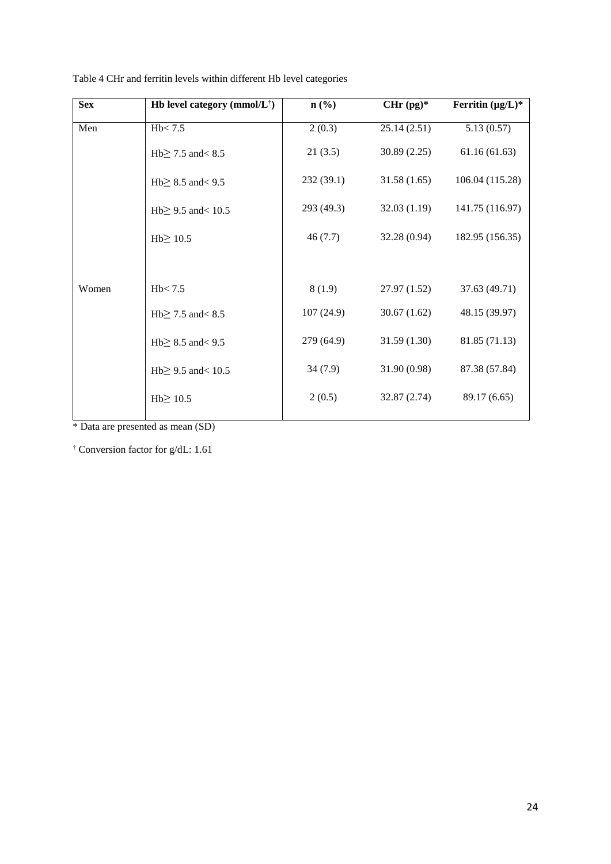| <b>Sex</b> | Hb level category (mmol/ $L^{\dagger}$ ) | $n$ (%)    | $CHr (pg)^*$ | Ferritin $(\mu g/L)^*$ |
|------------|------------------------------------------|------------|--------------|------------------------|
| Men        | Hb < 7.5                                 | 2(0.3)     | 25.14(2.51)  | 5.13(0.57)             |
|            | Hb $\geq$ 7.5 and < 8.5                  | 21(3.5)    | 30.89(2.25)  | 61.16(61.63)           |
|            | Hb $\geq$ 8.5 and < 9.5                  | 232(39.1)  | 31.58(1.65)  | 106.04 (115.28)        |
|            | Hb $\geq$ 9.5 and < 10.5                 | 293 (49.3) | 32.03(1.19)  | 141.75 (116.97)        |
|            | $Hb \geq 10.5$                           | 46(7.7)    | 32.28 (0.94) | 182.95 (156.35)        |
| Women      | Hb < 7.5                                 | 8(1.9)     | 27.97 (1.52) | 37.63 (49.71)          |
|            | Hb $\geq$ 7.5 and < 8.5                  | 107(24.9)  | 30.67(1.62)  | 48.15 (39.97)          |
|            | Hb $\geq$ 8.5 and < 9.5                  | 279 (64.9) | 31.59(1.30)  | 81.85 (71.13)          |
|            | Hb $\geq$ 9.5 and < 10.5                 | 34(7.9)    | 31.90 (0.98) | 87.38 (57.84)          |
|            | $Hb \geq 10.5$                           | 2(0.5)     | 32.87 (2.74) | 89.17 (6.65)           |

Table 4 CHr and ferritin levels within different Hb level categories

\* Data are presented as mean (SD)

† Conversion factor for g/dL: 1.61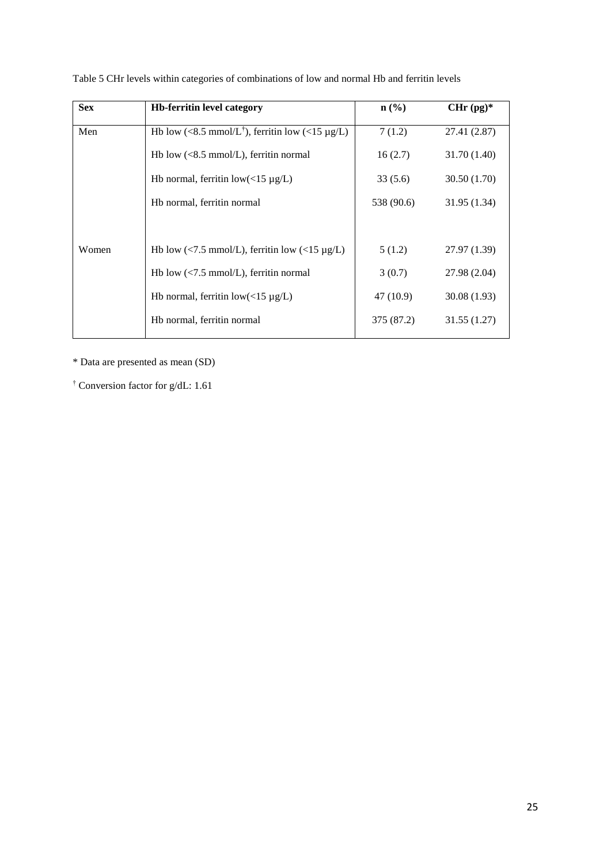| <b>Sex</b> | <b>Hb-ferritin level category</b>                                                | $\mathbf{n}(\%)$ | $CHr (pg)^*$ |
|------------|----------------------------------------------------------------------------------|------------------|--------------|
| Men        | Hb low (<8.5 mmol/L <sup>†</sup> ), ferritin low (<15 $\mu$ g/L)                 | 7(1.2)           | 27.41 (2.87) |
|            | Hb low $\left( \langle 8.5 \text{ mmol/L} \right)$ , ferritin normal             | 16(2.7)          | 31.70 (1.40) |
|            | Hb normal, ferritin $low(<15 \mu g/L)$                                           | 33(5.6)          | 30.50 (1.70) |
|            | Hb normal, ferritin normal                                                       | 538 (90.6)       | 31.95 (1.34) |
|            |                                                                                  |                  |              |
| Women      | Hb low (<7.5 mmol/L), ferritin low (<15 $\mu$ g/L)                               | 5(1.2)           | 27.97 (1.39) |
|            | Hb low $\left\langle \langle 7.5 \text{ mmol/L} \right\rangle$ , ferritin normal | 3(0.7)           | 27.98 (2.04) |
|            | Hb normal, ferritin $low(<15 \mu g/L)$                                           | 47 (10.9)        | 30.08(1.93)  |
|            | Hb normal, ferritin normal                                                       | 375 (87.2)       | 31.55(1.27)  |

Table 5 CHr levels within categories of combinations of low and normal Hb and ferritin levels

\* Data are presented as mean (SD)

† Conversion factor for g/dL: 1.61